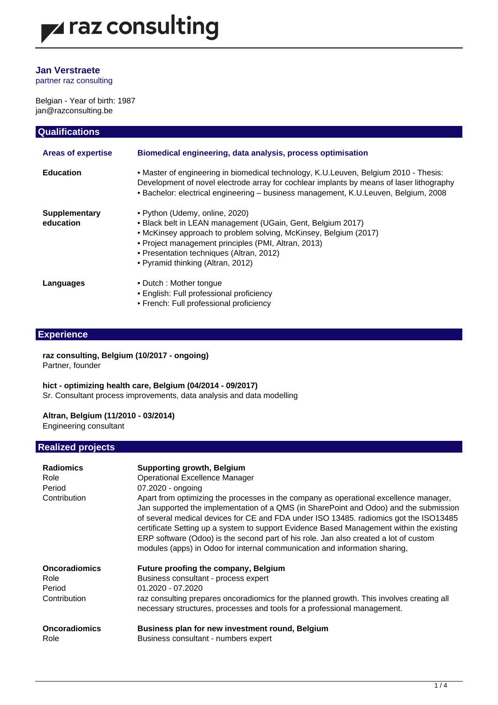### **Jan Verstraete**

 $\overline{\phantom{a}}$ 

partner raz consulting

Belgian - Year of birth: 1987 jan@razconsulting.be

| <b>Qualifications</b>             |                                                                                                                                                                                                                                                                                                           |  |
|-----------------------------------|-----------------------------------------------------------------------------------------------------------------------------------------------------------------------------------------------------------------------------------------------------------------------------------------------------------|--|
| <b>Areas of expertise</b>         | Biomedical engineering, data analysis, process optimisation                                                                                                                                                                                                                                               |  |
| <b>Education</b>                  | • Master of engineering in biomedical technology, K.U.Leuven, Belgium 2010 - Thesis:<br>Development of novel electrode array for cochlear implants by means of laser lithography<br>• Bachelor: electrical engineering - business management, K.U.Leuven, Belgium, 2008                                   |  |
| <b>Supplementary</b><br>education | • Python (Udemy, online, 2020)<br>• Black belt in LEAN management (UGain, Gent, Belgium 2017)<br>• McKinsey approach to problem solving, McKinsey, Belgium (2017)<br>• Project management principles (PMI, Altran, 2013)<br>• Presentation techniques (Altran, 2012)<br>• Pyramid thinking (Altran, 2012) |  |
| Languages                         | • Dutch: Mother tongue<br>• English: Full professional proficiency<br>• French: Full professional proficiency                                                                                                                                                                                             |  |

### **Experience**

**raz consulting, Belgium (10/2017 - ongoing)** Partner, founder

**hict - optimizing health care, Belgium (04/2014 - 09/2017)**

Sr. Consultant process improvements, data analysis and data modelling

#### **Altran, Belgium (11/2010 - 03/2014)**

Engineering consultant

#### **Realized projects**

| <b>Radiomics</b><br>Role<br>Period<br>Contribution     | <b>Supporting growth, Belgium</b><br><b>Operational Excellence Manager</b><br>07.2020 - ongoing<br>Apart from optimizing the processes in the company as operational excellence manager,<br>Jan supported the implementation of a QMS (in SharePoint and Odoo) and the submission<br>of several medical devices for CE and FDA under ISO 13485. radiomics got the ISO13485<br>certificate Setting up a system to support Evidence Based Management within the existing<br>ERP software (Odoo) is the second part of his role. Jan also created a lot of custom<br>modules (apps) in Odoo for internal communication and information sharing, |
|--------------------------------------------------------|----------------------------------------------------------------------------------------------------------------------------------------------------------------------------------------------------------------------------------------------------------------------------------------------------------------------------------------------------------------------------------------------------------------------------------------------------------------------------------------------------------------------------------------------------------------------------------------------------------------------------------------------|
| <b>Oncoradiomics</b><br>Role<br>Period<br>Contribution | Future proofing the company, Belgium<br>Business consultant - process expert<br>01.2020 - 07.2020<br>raz consulting prepares oncoradiomics for the planned growth. This involves creating all<br>necessary structures, processes and tools for a professional management.                                                                                                                                                                                                                                                                                                                                                                    |
| <b>Oncoradiomics</b><br>Role                           | Business plan for new investment round, Belgium<br>Business consultant - numbers expert                                                                                                                                                                                                                                                                                                                                                                                                                                                                                                                                                      |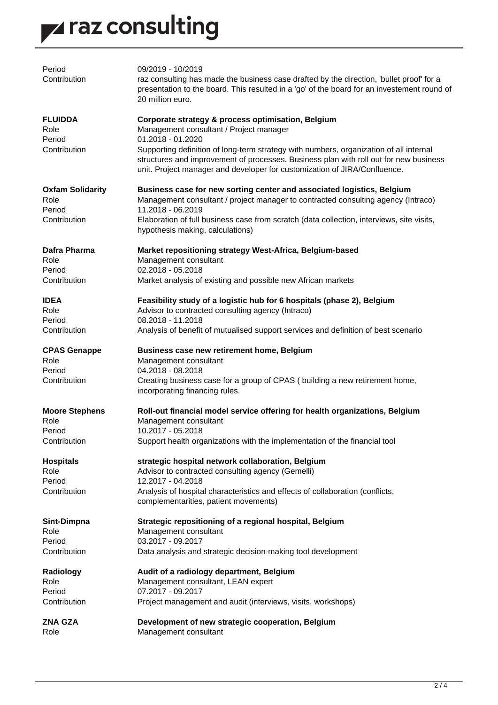# z raz consulting

| Period<br>Contribution                    | 09/2019 - 10/2019<br>raz consulting has made the business case drafted by the direction, 'bullet proof' for a                                                                                                                                                |
|-------------------------------------------|--------------------------------------------------------------------------------------------------------------------------------------------------------------------------------------------------------------------------------------------------------------|
|                                           | presentation to the board. This resulted in a 'go' of the board for an investement round of<br>20 million euro.                                                                                                                                              |
| <b>FLUIDDA</b><br>Role                    | Corporate strategy & process optimisation, Belgium<br>Management consultant / Project manager                                                                                                                                                                |
| Period                                    | 01.2018 - 01.2020                                                                                                                                                                                                                                            |
| Contribution                              | Supporting definition of long-term strategy with numbers, organization of all internal<br>structures and improvement of processes. Business plan with roll out for new business<br>unit. Project manager and developer for customization of JIRA/Confluence. |
| <b>Oxfam Solidarity</b><br>Role<br>Period | Business case for new sorting center and associated logistics, Belgium<br>Management consultant / project manager to contracted consulting agency (Intraco)<br>11.2018 - 06.2019                                                                             |
| Contribution                              | Elaboration of full business case from scratch (data collection, interviews, site visits,<br>hypothesis making, calculations)                                                                                                                                |
| Dafra Pharma<br>Role                      | Market repositioning strategy West-Africa, Belgium-based<br>Management consultant                                                                                                                                                                            |
| Period                                    | 02.2018 - 05.2018                                                                                                                                                                                                                                            |
| Contribution                              | Market analysis of existing and possible new African markets                                                                                                                                                                                                 |
| <b>IDEA</b>                               | Feasibility study of a logistic hub for 6 hospitals (phase 2), Belgium                                                                                                                                                                                       |
| Role                                      | Advisor to contracted consulting agency (Intraco)                                                                                                                                                                                                            |
| Period                                    | 08.2018 - 11.2018                                                                                                                                                                                                                                            |
| Contribution                              | Analysis of benefit of mutualised support services and definition of best scenario                                                                                                                                                                           |
| <b>CPAS Genappe</b>                       | Business case new retirement home, Belgium                                                                                                                                                                                                                   |
| Role                                      | Management consultant                                                                                                                                                                                                                                        |
| Period                                    | 04.2018 - 08.2018                                                                                                                                                                                                                                            |
| Contribution                              | Creating business case for a group of CPAS (building a new retirement home,<br>incorporating financing rules.                                                                                                                                                |
| <b>Moore Stephens</b><br>Role             | Roll-out financial model service offering for health organizations, Belgium<br>Management consultant<br>10.2017 - 05.2018                                                                                                                                    |
| Period<br>Contribution                    | Support health organizations with the implementation of the financial tool                                                                                                                                                                                   |
| <b>Hospitals</b>                          | strategic hospital network collaboration, Belgium                                                                                                                                                                                                            |
| Role<br>Period                            | Advisor to contracted consulting agency (Gemelli)<br>12.2017 - 04.2018                                                                                                                                                                                       |
| Contribution                              | Analysis of hospital characteristics and effects of collaboration (conflicts,                                                                                                                                                                                |
|                                           | complementarities, patient movements)                                                                                                                                                                                                                        |
| Sint-Dimpna                               | Strategic repositioning of a regional hospital, Belgium                                                                                                                                                                                                      |
| Role                                      | Management consultant                                                                                                                                                                                                                                        |
| Period                                    | 03.2017 - 09.2017                                                                                                                                                                                                                                            |
| Contribution                              | Data analysis and strategic decision-making tool development                                                                                                                                                                                                 |
| Radiology                                 | Audit of a radiology department, Belgium                                                                                                                                                                                                                     |
| Role                                      | Management consultant, LEAN expert                                                                                                                                                                                                                           |
| Period                                    | 07.2017 - 09.2017                                                                                                                                                                                                                                            |
| Contribution                              | Project management and audit (interviews, visits, workshops)                                                                                                                                                                                                 |
| <b>ZNA GZA</b><br>Role                    | Development of new strategic cooperation, Belgium<br>Management consultant                                                                                                                                                                                   |
|                                           |                                                                                                                                                                                                                                                              |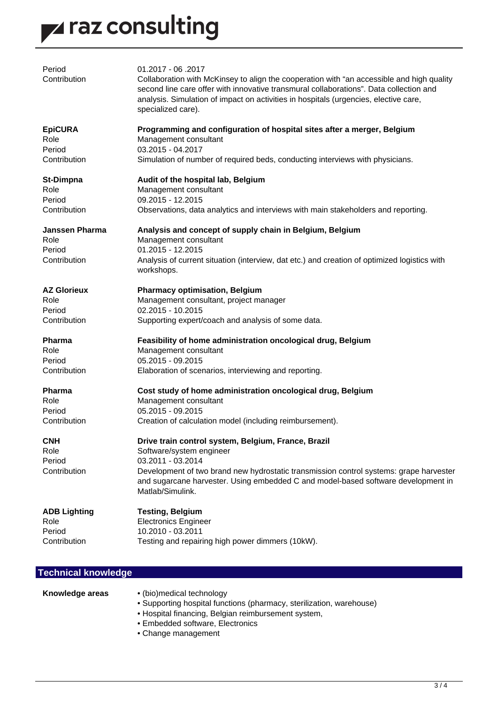

| Period<br>Contribution                                  | 01.2017 - 06.2017<br>Collaboration with McKinsey to align the cooperation with "an accessible and high quality<br>second line care offer with innovative transmural collaborations". Data collection and<br>analysis. Simulation of impact on activities in hospitals (urgencies, elective care,<br>specialized care). |
|---------------------------------------------------------|------------------------------------------------------------------------------------------------------------------------------------------------------------------------------------------------------------------------------------------------------------------------------------------------------------------------|
| <b>EpiCURA</b>                                          | Programming and configuration of hospital sites after a merger, Belgium                                                                                                                                                                                                                                                |
| Role                                                    | Management consultant                                                                                                                                                                                                                                                                                                  |
| Period                                                  | 03.2015 - 04.2017                                                                                                                                                                                                                                                                                                      |
| Contribution                                            | Simulation of number of required beds, conducting interviews with physicians.                                                                                                                                                                                                                                          |
| <b>St-Dimpna</b>                                        | Audit of the hospital lab, Belgium                                                                                                                                                                                                                                                                                     |
| Role                                                    | Management consultant                                                                                                                                                                                                                                                                                                  |
| Period                                                  | 09.2015 - 12.2015                                                                                                                                                                                                                                                                                                      |
| Contribution                                            | Observations, data analytics and interviews with main stakeholders and reporting.                                                                                                                                                                                                                                      |
| <b>Janssen Pharma</b><br>Role<br>Period<br>Contribution | Analysis and concept of supply chain in Belgium, Belgium<br>Management consultant<br>01.2015 - 12.2015<br>Analysis of current situation (interview, dat etc.) and creation of optimized logistics with<br>workshops.                                                                                                   |
| <b>AZ Glorieux</b>                                      | <b>Pharmacy optimisation, Belgium</b>                                                                                                                                                                                                                                                                                  |
| Role                                                    | Management consultant, project manager                                                                                                                                                                                                                                                                                 |
| Period                                                  | 02.2015 - 10.2015                                                                                                                                                                                                                                                                                                      |
| Contribution                                            | Supporting expert/coach and analysis of some data.                                                                                                                                                                                                                                                                     |
| <b>Pharma</b>                                           | Feasibility of home administration oncological drug, Belgium                                                                                                                                                                                                                                                           |
| Role                                                    | Management consultant                                                                                                                                                                                                                                                                                                  |
| Period                                                  | 05.2015 - 09.2015                                                                                                                                                                                                                                                                                                      |
| Contribution                                            | Elaboration of scenarios, interviewing and reporting.                                                                                                                                                                                                                                                                  |
| <b>Pharma</b>                                           | Cost study of home administration oncological drug, Belgium                                                                                                                                                                                                                                                            |
| Role                                                    | Management consultant                                                                                                                                                                                                                                                                                                  |
| Period                                                  | 05.2015 - 09.2015                                                                                                                                                                                                                                                                                                      |
| Contribution                                            | Creation of calculation model (including reimbursement).                                                                                                                                                                                                                                                               |
| <b>CNH</b><br>Role<br>Period<br>Contribution            | Drive train control system, Belgium, France, Brazil<br>Software/system engineer<br>03.2011 - 03.2014<br>Development of two brand new hydrostatic transmission control systems: grape harvester<br>and sugarcane harvester. Using embedded C and model-based software development in<br>Matlab/Simulink.                |
| <b>ADB Lighting</b>                                     | <b>Testing, Belgium</b>                                                                                                                                                                                                                                                                                                |
| Role                                                    | <b>Electronics Engineer</b>                                                                                                                                                                                                                                                                                            |
| Period                                                  | 10.2010 - 03.2011                                                                                                                                                                                                                                                                                                      |
| Contribution                                            | Testing and repairing high power dimmers (10kW).                                                                                                                                                                                                                                                                       |

### **Technical knowledge**

- **Knowledge areas** (bio)medical technology
	- Supporting hospital functions (pharmacy, sterilization, warehouse)
	- Hospital financing, Belgian reimbursement system,
	- Embedded software, Electronics
	- Change management